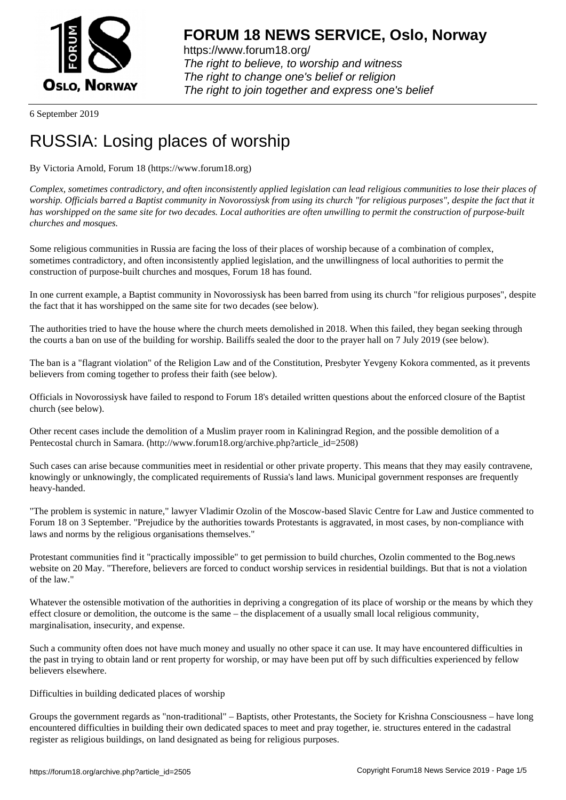

6 September 2019

## [RUSSIA: Losing](https://www.forum18.org) places of worship

## By Victoria Arnold, Forum 18 (https://www.forum18.org)

*Complex, sometimes contradictory, and often inconsistently applied legislation can lead religious communities to lose their places of worship. Officials barred a Baptist community in Novorossiysk from using its church "for religious purposes", despite the fact that it has worshipped on the same site for two decades. Local authorities are often unwilling to permit the construction of purpose-built churches and mosques.*

Some religious communities in Russia are facing the loss of their places of worship because of a combination of complex, sometimes contradictory, and often inconsistently applied legislation, and the unwillingness of local authorities to permit the construction of purpose-built churches and mosques, Forum 18 has found.

In one current example, a Baptist community in Novorossiysk has been barred from using its church "for religious purposes", despite the fact that it has worshipped on the same site for two decades (see below).

The authorities tried to have the house where the church meets demolished in 2018. When this failed, they began seeking through the courts a ban on use of the building for worship. Bailiffs sealed the door to the prayer hall on 7 July 2019 (see below).

The ban is a "flagrant violation" of the Religion Law and of the Constitution, Presbyter Yevgeny Kokora commented, as it prevents believers from coming together to profess their faith (see below).

Officials in Novorossiysk have failed to respond to Forum 18's detailed written questions about the enforced closure of the Baptist church (see below).

Other recent cases include the demolition of a Muslim prayer room in Kaliningrad Region, and the possible demolition of a Pentecostal church in Samara. (http://www.forum18.org/archive.php?article\_id=2508)

Such cases can arise because communities meet in residential or other private property. This means that they may easily contravene, knowingly or unknowingly, the complicated requirements of Russia's land laws. Municipal government responses are frequently heavy-handed.

"The problem is systemic in nature," lawyer Vladimir Ozolin of the Moscow-based Slavic Centre for Law and Justice commented to Forum 18 on 3 September. "Prejudice by the authorities towards Protestants is aggravated, in most cases, by non-compliance with laws and norms by the religious organisations themselves."

Protestant communities find it "practically impossible" to get permission to build churches, Ozolin commented to the Bog.news website on 20 May. "Therefore, believers are forced to conduct worship services in residential buildings. But that is not a violation of the law."

Whatever the ostensible motivation of the authorities in depriving a congregation of its place of worship or the means by which they effect closure or demolition, the outcome is the same – the displacement of a usually small local religious community, marginalisation, insecurity, and expense.

Such a community often does not have much money and usually no other space it can use. It may have encountered difficulties in the past in trying to obtain land or rent property for worship, or may have been put off by such difficulties experienced by fellow believers elsewhere.

## Difficulties in building dedicated places of worship

Groups the government regards as "non-traditional" – Baptists, other Protestants, the Society for Krishna Consciousness – have long encountered difficulties in building their own dedicated spaces to meet and pray together, ie. structures entered in the cadastral register as religious buildings, on land designated as being for religious purposes.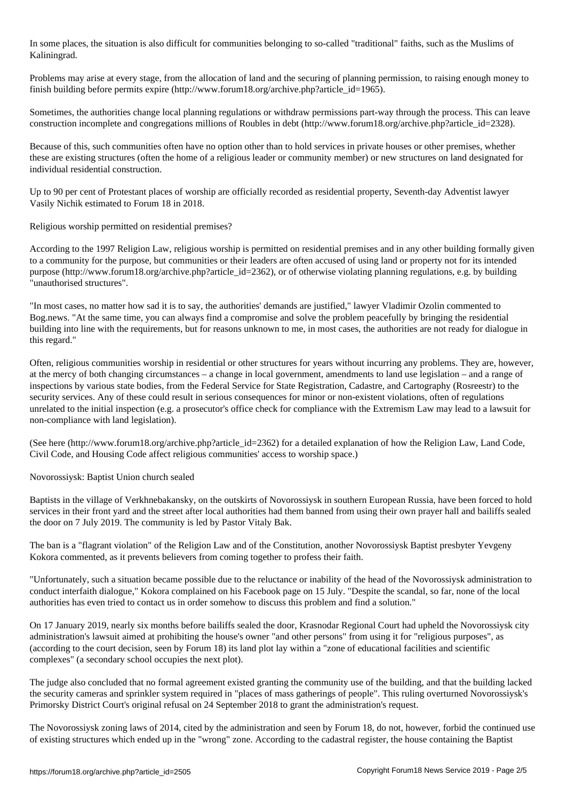In some places, the situation is also difficult for communities belonging to so-called "traditional" faiths, such as the Muslims of Kaliningrad.

Problems may arise at every stage, from the allocation of land and the securing of planning permission, to raising enough money to finish building before permits expire (http://www.forum18.org/archive.php?article\_id=1965).

Sometimes, the authorities change local planning regulations or withdraw permissions part-way through the process. This can leave construction incomplete and congregations millions of Roubles in debt (http://www.forum18.org/archive.php?article\_id=2328).

Because of this, such communities often have no option other than to hold services in private houses or other premises, whether these are existing structures (often the home of a religious leader or community member) or new structures on land designated for individual residential construction.

Up to 90 per cent of Protestant places of worship are officially recorded as residential property, Seventh-day Adventist lawyer Vasily Nichik estimated to Forum 18 in 2018.

Religious worship permitted on residential premises?

According to the 1997 Religion Law, religious worship is permitted on residential premises and in any other building formally given to a community for the purpose, but communities or their leaders are often accused of using land or property not for its intended purpose (http://www.forum18.org/archive.php?article\_id=2362), or of otherwise violating planning regulations, e.g. by building "unauthorised structures".

"In most cases, no matter how sad it is to say, the authorities' demands are justified," lawyer Vladimir Ozolin commented to Bog.news. "At the same time, you can always find a compromise and solve the problem peacefully by bringing the residential building into line with the requirements, but for reasons unknown to me, in most cases, the authorities are not ready for dialogue in this regard."

Often, religious communities worship in residential or other structures for years without incurring any problems. They are, however, at the mercy of both changing circumstances – a change in local government, amendments to land use legislation – and a range of inspections by various state bodies, from the Federal Service for State Registration, Cadastre, and Cartography (Rosreestr) to the security services. Any of these could result in serious consequences for minor or non-existent violations, often of regulations unrelated to the initial inspection (e.g. a prosecutor's office check for compliance with the Extremism Law may lead to a lawsuit for non-compliance with land legislation).

(See here (http://www.forum18.org/archive.php?article\_id=2362) for a detailed explanation of how the Religion Law, Land Code, Civil Code, and Housing Code affect religious communities' access to worship space.)

Novorossiysk: Baptist Union church sealed

Baptists in the village of Verkhnebakansky, on the outskirts of Novorossiysk in southern European Russia, have been forced to hold services in their front yard and the street after local authorities had them banned from using their own prayer hall and bailiffs sealed the door on 7 July 2019. The community is led by Pastor Vitaly Bak.

The ban is a "flagrant violation" of the Religion Law and of the Constitution, another Novorossiysk Baptist presbyter Yevgeny Kokora commented, as it prevents believers from coming together to profess their faith.

"Unfortunately, such a situation became possible due to the reluctance or inability of the head of the Novorossiysk administration to conduct interfaith dialogue," Kokora complained on his Facebook page on 15 July. "Despite the scandal, so far, none of the local authorities has even tried to contact us in order somehow to discuss this problem and find a solution."

On 17 January 2019, nearly six months before bailiffs sealed the door, Krasnodar Regional Court had upheld the Novorossiysk city administration's lawsuit aimed at prohibiting the house's owner "and other persons" from using it for "religious purposes", as (according to the court decision, seen by Forum 18) its land plot lay within a "zone of educational facilities and scientific complexes" (a secondary school occupies the next plot).

The judge also concluded that no formal agreement existed granting the community use of the building, and that the building lacked the security cameras and sprinkler system required in "places of mass gatherings of people". This ruling overturned Novorossiysk's Primorsky District Court's original refusal on 24 September 2018 to grant the administration's request.

The Novorossiysk zoning laws of 2014, cited by the administration and seen by Forum 18, do not, however, forbid the continued use of existing structures which ended up in the "wrong" zone. According to the cadastral register, the house containing the Baptist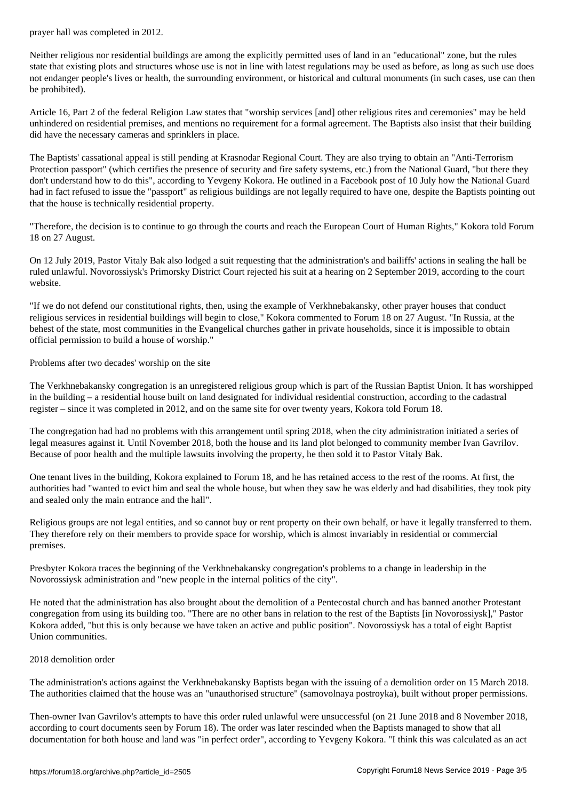Neither religious nor residential buildings are among the explicitly permitted uses of land in an "educational" zone, but the rules state that existing plots and structures whose use is not in line with latest regulations may be used as before, as long as such use does not endanger people's lives or health, the surrounding environment, or historical and cultural monuments (in such cases, use can then be prohibited).

Article 16, Part 2 of the federal Religion Law states that "worship services [and] other religious rites and ceremonies" may be held unhindered on residential premises, and mentions no requirement for a formal agreement. The Baptists also insist that their building did have the necessary cameras and sprinklers in place.

The Baptists' cassational appeal is still pending at Krasnodar Regional Court. They are also trying to obtain an "Anti-Terrorism Protection passport" (which certifies the presence of security and fire safety systems, etc.) from the National Guard, "but there they don't understand how to do this", according to Yevgeny Kokora. He outlined in a Facebook post of 10 July how the National Guard had in fact refused to issue the "passport" as religious buildings are not legally required to have one, despite the Baptists pointing out that the house is technically residential property.

"Therefore, the decision is to continue to go through the courts and reach the European Court of Human Rights," Kokora told Forum 18 on 27 August.

On 12 July 2019, Pastor Vitaly Bak also lodged a suit requesting that the administration's and bailiffs' actions in sealing the hall be ruled unlawful. Novorossiysk's Primorsky District Court rejected his suit at a hearing on 2 September 2019, according to the court website.

"If we do not defend our constitutional rights, then, using the example of Verkhnebakansky, other prayer houses that conduct religious services in residential buildings will begin to close," Kokora commented to Forum 18 on 27 August. "In Russia, at the behest of the state, most communities in the Evangelical churches gather in private households, since it is impossible to obtain official permission to build a house of worship."

Problems after two decades' worship on the site

The Verkhnebakansky congregation is an unregistered religious group which is part of the Russian Baptist Union. It has worshipped in the building – a residential house built on land designated for individual residential construction, according to the cadastral register – since it was completed in 2012, and on the same site for over twenty years, Kokora told Forum 18.

The congregation had had no problems with this arrangement until spring 2018, when the city administration initiated a series of legal measures against it. Until November 2018, both the house and its land plot belonged to community member Ivan Gavrilov. Because of poor health and the multiple lawsuits involving the property, he then sold it to Pastor Vitaly Bak.

One tenant lives in the building, Kokora explained to Forum 18, and he has retained access to the rest of the rooms. At first, the authorities had "wanted to evict him and seal the whole house, but when they saw he was elderly and had disabilities, they took pity and sealed only the main entrance and the hall".

Religious groups are not legal entities, and so cannot buy or rent property on their own behalf, or have it legally transferred to them. They therefore rely on their members to provide space for worship, which is almost invariably in residential or commercial premises.

Presbyter Kokora traces the beginning of the Verkhnebakansky congregation's problems to a change in leadership in the Novorossiysk administration and "new people in the internal politics of the city".

He noted that the administration has also brought about the demolition of a Pentecostal church and has banned another Protestant congregation from using its building too. "There are no other bans in relation to the rest of the Baptists [in Novorossiysk]," Pastor Kokora added, "but this is only because we have taken an active and public position". Novorossiysk has a total of eight Baptist Union communities.

## 2018 demolition order

The administration's actions against the Verkhnebakansky Baptists began with the issuing of a demolition order on 15 March 2018. The authorities claimed that the house was an "unauthorised structure" (samovolnaya postroyka), built without proper permissions.

Then-owner Ivan Gavrilov's attempts to have this order ruled unlawful were unsuccessful (on 21 June 2018 and 8 November 2018, according to court documents seen by Forum 18). The order was later rescinded when the Baptists managed to show that all documentation for both house and land was "in perfect order", according to Yevgeny Kokora. "I think this was calculated as an act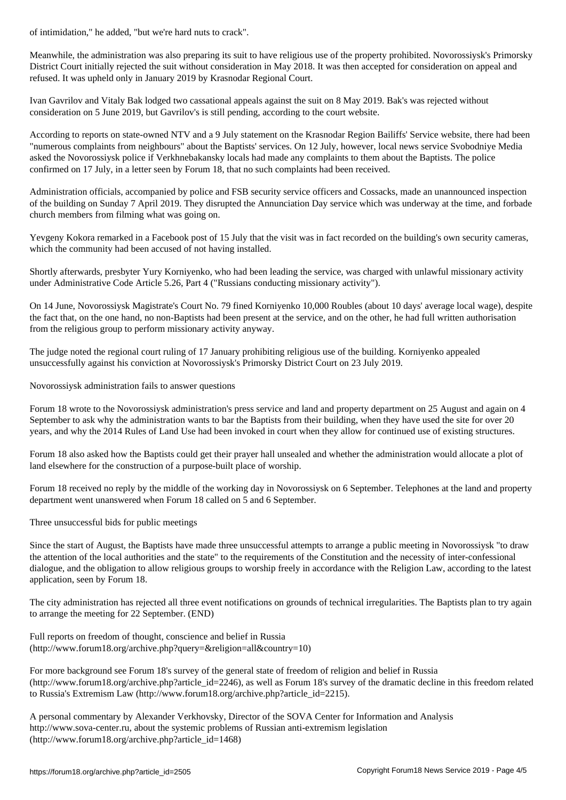Meanwhile, the administration was also preparing its suit to have religious use of the property prohibited. Novorossiysk's Primorsky District Court initially rejected the suit without consideration in May 2018. It was then accepted for consideration on appeal and refused. It was upheld only in January 2019 by Krasnodar Regional Court.

Ivan Gavrilov and Vitaly Bak lodged two cassational appeals against the suit on 8 May 2019. Bak's was rejected without consideration on 5 June 2019, but Gavrilov's is still pending, according to the court website.

According to reports on state-owned NTV and a 9 July statement on the Krasnodar Region Bailiffs' Service website, there had been "numerous complaints from neighbours" about the Baptists' services. On 12 July, however, local news service Svobodniye Media asked the Novorossiysk police if Verkhnebakansky locals had made any complaints to them about the Baptists. The police confirmed on 17 July, in a letter seen by Forum 18, that no such complaints had been received.

Administration officials, accompanied by police and FSB security service officers and Cossacks, made an unannounced inspection of the building on Sunday 7 April 2019. They disrupted the Annunciation Day service which was underway at the time, and forbade church members from filming what was going on.

Yevgeny Kokora remarked in a Facebook post of 15 July that the visit was in fact recorded on the building's own security cameras, which the community had been accused of not having installed.

Shortly afterwards, presbyter Yury Korniyenko, who had been leading the service, was charged with unlawful missionary activity under Administrative Code Article 5.26, Part 4 ("Russians conducting missionary activity").

On 14 June, Novorossiysk Magistrate's Court No. 79 fined Korniyenko 10,000 Roubles (about 10 days' average local wage), despite the fact that, on the one hand, no non-Baptists had been present at the service, and on the other, he had full written authorisation from the religious group to perform missionary activity anyway.

The judge noted the regional court ruling of 17 January prohibiting religious use of the building. Korniyenko appealed unsuccessfully against his conviction at Novorossiysk's Primorsky District Court on 23 July 2019.

Novorossiysk administration fails to answer questions

Forum 18 wrote to the Novorossiysk administration's press service and land and property department on 25 August and again on 4 September to ask why the administration wants to bar the Baptists from their building, when they have used the site for over 20 years, and why the 2014 Rules of Land Use had been invoked in court when they allow for continued use of existing structures.

Forum 18 also asked how the Baptists could get their prayer hall unsealed and whether the administration would allocate a plot of land elsewhere for the construction of a purpose-built place of worship.

Forum 18 received no reply by the middle of the working day in Novorossiysk on 6 September. Telephones at the land and property department went unanswered when Forum 18 called on 5 and 6 September.

Three unsuccessful bids for public meetings

Since the start of August, the Baptists have made three unsuccessful attempts to arrange a public meeting in Novorossiysk "to draw the attention of the local authorities and the state" to the requirements of the Constitution and the necessity of inter-confessional dialogue, and the obligation to allow religious groups to worship freely in accordance with the Religion Law, according to the latest application, seen by Forum 18.

The city administration has rejected all three event notifications on grounds of technical irregularities. The Baptists plan to try again to arrange the meeting for 22 September. (END)

Full reports on freedom of thought, conscience and belief in Russia (http://www.forum18.org/archive.php?query=&religion=all&country=10)

For more background see Forum 18's survey of the general state of freedom of religion and belief in Russia  $(\text{http://www.forum18.org/archive.php?article id=2246)}$ , as well as Forum 18's survey of the dramatic decline in this freedom related to Russia's Extremism Law (http://www.forum18.org/archive.php?article\_id=2215).

A personal commentary by Alexander Verkhovsky, Director of the SOVA Center for Information and Analysis http://www.sova-center.ru, about the systemic problems of Russian anti-extremism legislation (http://www.forum18.org/archive.php?article\_id=1468)